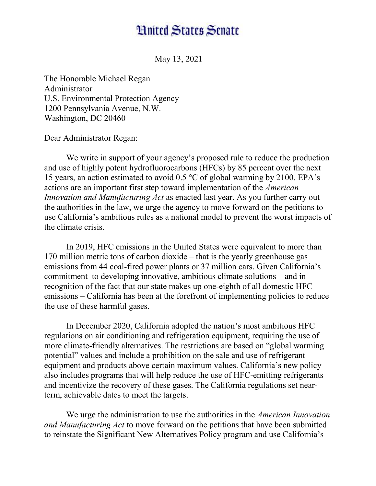## **Hnited States Senate**

May 13, 2021

The Honorable Michael Regan Administrator U.S. Environmental Protection Agency 1200 Pennsylvania Avenue, N.W. Washington, DC 20460

Dear Administrator Regan:

We write in support of your agency's proposed rule to reduce the production and use of highly potent hydrofluorocarbons (HFCs) by 85 percent over the next 15 years, an action estimated to avoid 0.5 °C of global warming by 2100. EPA's actions are an important first step toward implementation of the American Innovation and Manufacturing Act as enacted last year. As you further carry out the authorities in the law, we urge the agency to move forward on the petitions to use California's ambitious rules as a national model to prevent the worst impacts of the climate crisis.

In 2019, HFC emissions in the United States were equivalent to more than 170 million metric tons of carbon dioxide – that is the yearly greenhouse gas emissions from 44 coal-fired power plants or 37 million cars. Given California's commitment to developing innovative, ambitious climate solutions – and in recognition of the fact that our state makes up one-eighth of all domestic HFC emissions – California has been at the forefront of implementing policies to reduce the use of these harmful gases.

In December 2020, California adopted the nation's most ambitious HFC regulations on air conditioning and refrigeration equipment, requiring the use of more climate-friendly alternatives. The restrictions are based on "global warming potential" values and include a prohibition on the sale and use of refrigerant equipment and products above certain maximum values. California's new policy also includes programs that will help reduce the use of HFC-emitting refrigerants and incentivize the recovery of these gases. The California regulations set nearterm, achievable dates to meet the targets.

We urge the administration to use the authorities in the *American Innovation* and Manufacturing Act to move forward on the petitions that have been submitted to reinstate the Significant New Alternatives Policy program and use California's